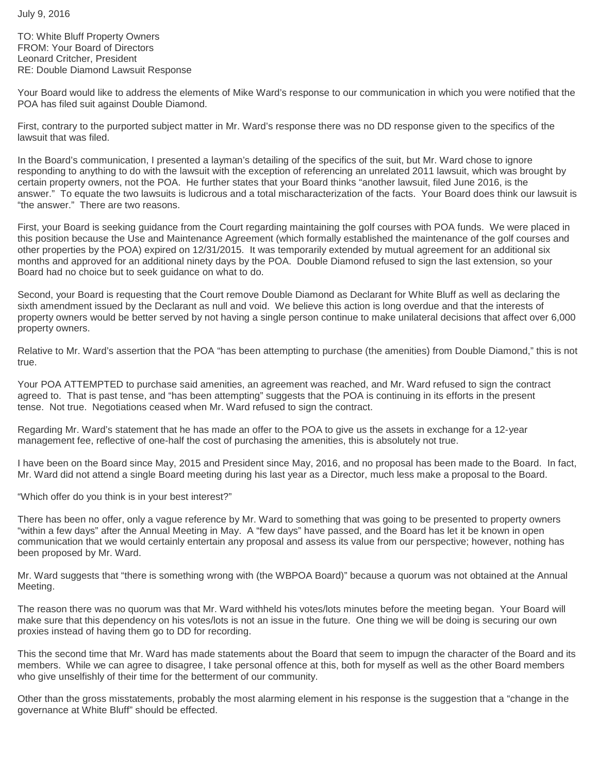TO: White Bluff Property Owners FROM: Your Board of Directors Leonard Critcher, President RE: Double Diamond Lawsuit Response

Your Board would like to address the elements of Mike Ward's response to our communication in which you were notified that the POA has filed suit against Double Diamond.

First, contrary to the purported subject matter in Mr. Ward's response there was no DD response given to the specifics of the lawsuit that was filed.

In the Board's communication, I presented a layman's detailing of the specifics of the suit, but Mr. Ward chose to ignore responding to anything to do with the lawsuit with the exception of referencing an unrelated 2011 lawsuit, which was brought by certain property owners, not the POA. He further states that your Board thinks "another lawsuit, filed June 2016, is the answer." To equate the two lawsuits is ludicrous and a total mischaracterization of the facts. Your Board does think our lawsuit is "the answer." There are two reasons.

First, your Board is seeking guidance from the Court regarding maintaining the golf courses with POA funds. We were placed in this position because the Use and Maintenance Agreement (which formally established the maintenance of the golf courses and other properties by the POA) expired on 12/31/2015. It was temporarily extended by mutual agreement for an additional six months and approved for an additional ninety days by the POA. Double Diamond refused to sign the last extension, so your Board had no choice but to seek guidance on what to do.

Second, your Board is requesting that the Court remove Double Diamond as Declarant for White Bluff as well as declaring the sixth amendment issued by the Declarant as null and void. We believe this action is long overdue and that the interests of property owners would be better served by not having a single person continue to make unilateral decisions that affect over 6,000 property owners.

Relative to Mr. Ward's assertion that the POA "has been attempting to purchase (the amenities) from Double Diamond," this is not true.

Your POA ATTEMPTED to purchase said amenities, an agreement was reached, and Mr. Ward refused to sign the contract agreed to. That is past tense, and "has been attempting" suggests that the POA is continuing in its efforts in the present tense. Not true. Negotiations ceased when Mr. Ward refused to sign the contract.

Regarding Mr. Ward's statement that he has made an offer to the POA to give us the assets in exchange for a 12-year management fee, reflective of one-half the cost of purchasing the amenities, this is absolutely not true.

I have been on the Board since May, 2015 and President since May, 2016, and no proposal has been made to the Board. In fact, Mr. Ward did not attend a single Board meeting during his last year as a Director, much less make a proposal to the Board.

"Which offer do you think is in your best interest?"

There has been no offer, only a vague reference by Mr. Ward to something that was going to be presented to property owners "within a few days" after the Annual Meeting in May. A "few days" have passed, and the Board has let it be known in open communication that we would certainly entertain any proposal and assess its value from our perspective; however, nothing has been proposed by Mr. Ward.

Mr. Ward suggests that "there is something wrong with (the WBPOA Board)" because a quorum was not obtained at the Annual Meeting.

The reason there was no quorum was that Mr. Ward withheld his votes/lots minutes before the meeting began. Your Board will make sure that this dependency on his votes/lots is not an issue in the future. One thing we will be doing is securing our own proxies instead of having them go to DD for recording.

This the second time that Mr. Ward has made statements about the Board that seem to impugn the character of the Board and its members. While we can agree to disagree, I take personal offence at this, both for myself as well as the other Board members who give unselfishly of their time for the betterment of our community.

Other than the gross misstatements, probably the most alarming element in his response is the suggestion that a "change in the governance at White Bluff" should be effected.